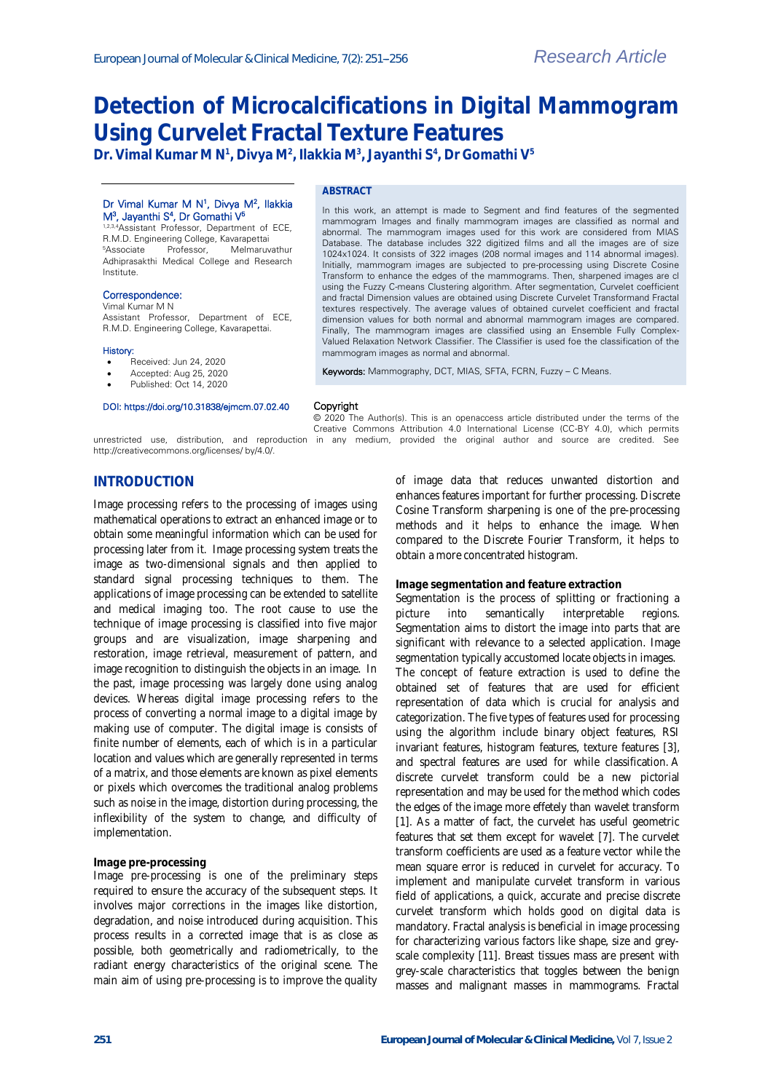# **Detection of Microcalcifications in Digital Mammogram Using Curvelet Fractal Texture Features**

**Dr. Vimal Kumar M N<sup>1</sup> , Divya M<sup>2</sup> , Ilakkia M<sup>3</sup> , Jayanthi S<sup>4</sup> , Dr Gomathi V<sup>5</sup>**

#### Dr Vimal Kumar M N<sup>1</sup>, Divya M<sup>2</sup>, Ilakkia M<sup>3</sup>, Jayanthi S<sup>4</sup>, Dr Gomathi V<sup>5</sup>

1,2,3,4Assistant Professor, Department of ECE, R.M.D. Engineering College, Kavarapettai Melmaruvathur Adhiprasakthi Medical College and Research Institute.

#### Correspondence:

#### Vimal Kumar M N

Assistant Professor, Department of ECE, R.M.D. Engineering College, Kavarapettai.

#### History:

- Received: Jun 24, 2020
- Accepted: Aug 25, 2020
- Published: Oct 14, 2020

#### DOI: https://doi.org/10.31838/ejmcm.07.02.40

http://creativecommons.org/licenses/ by/4.0/.

## **ABSTRACT**

In this work, an attempt is made to Segment and find features of the segmented mammogram Images and finally mammogram images are classified as normal and abnormal. The mammogram images used for this work are considered from MIAS Database. The database includes 322 digitized films and all the images are of size 1024x1024. It consists of 322 images (208 normal images and 114 abnormal images). Initially, mammogram images are subjected to pre-processing using Discrete Cosine Transform to enhance the edges of the mammograms. Then, sharpened images are cl using the Fuzzy C-means Clustering algorithm. After segmentation, Curvelet coefficient and fractal Dimension values are obtained using Discrete Curvelet Transformand Fractal textures respectively. The average values of obtained curvelet coefficient and fractal dimension values for both normal and abnormal mammogram images are compared. Finally, The mammogram images are classified using an Ensemble Fully Complex-Valued Relaxation Network Classifier. The Classifier is used foe the classification of the mammogram images as normal and abnormal.

Keywords: Mammography, DCT, MIAS, SFTA, FCRN, Fuzzy – C Means.

#### Copyright

© 2020 The Author(s). This is an openaccess article distributed under the terms of the Creative Commons Attribution 4.0 International License (CC-BY 4.0), which permits unrestricted use, distribution, and reproduction in any medium, provided the original author and source are credited. See

## **INTRODUCTION**

Image processing refers to the processing of images using mathematical operations to extract an enhanced image or to obtain some meaningful information which can be used for processing later from it. Image processing system treats the image as two-dimensional signals and then applied to standard signal processing techniques to them. The applications of image processing can be extended to satellite and medical imaging too. The root cause to use the technique of image processing is classified into five major groups and are visualization, image sharpening and restoration, image retrieval, measurement of pattern, and image recognition to distinguish the objects in an image. In the past, image processing was largely done using analog devices. Whereas digital image processing refers to the process of converting a normal image to a digital image by making use of computer. The digital image is consists of finite number of elements, each of which is in a particular location and values which are generally represented in terms of a matrix, and those elements are known as pixel elements or pixels which overcomes the traditional analog problems such as noise in the image, distortion during processing, the inflexibility of the system to change, and difficulty of implementation.

#### **Image pre-processing**

Image pre-processing is one of the preliminary steps required to ensure the accuracy of the subsequent steps. It involves major corrections in the images like distortion, degradation, and noise introduced during acquisition. This process results in a corrected image that is as close as possible, both geometrically and radiometrically, to the radiant energy characteristics of the original scene. The main aim of using pre-processing is to improve the quality of image data that reduces unwanted distortion and enhances features important for further processing. Discrete Cosine Transform sharpening is one of the pre-processing methods and it helps to enhance the image. When compared to the Discrete Fourier Transform, it helps to obtain a more concentrated histogram.

#### **Image segmentation and feature extraction**

Segmentation is the process of splitting or fractioning a picture into semantically interpretable regions. Segmentation aims to distort the image into parts that are significant with relevance to a selected application. Image segmentation typically accustomed locate objects in images. The concept of feature extraction is used to define the obtained set of features that are used for efficient representation of data which is crucial for analysis and categorization. The five types of features used for processing using the algorithm include binary object features, RSI invariant features, histogram features, texture features [3], and spectral features are used for while classification. A discrete curvelet transform could be a new pictorial representation and may be used for the method which codes the edges of the image more effetely than wavelet transform [1]. As a matter of fact, the curvelet has useful geometric features that set them except for wavelet [7]. The curvelet transform coefficients are used as a feature vector while the mean square error is reduced in curvelet for accuracy. To implement and manipulate curvelet transform in various field of applications, a quick, accurate and precise discrete curvelet transform which holds good on digital data is mandatory. Fractal analysis is beneficial in image processing for characterizing various factors like shape, size and greyscale complexity [11]. Breast tissues mass are present with grey-scale characteristics that toggles between the benign masses and malignant masses in mammograms. Fractal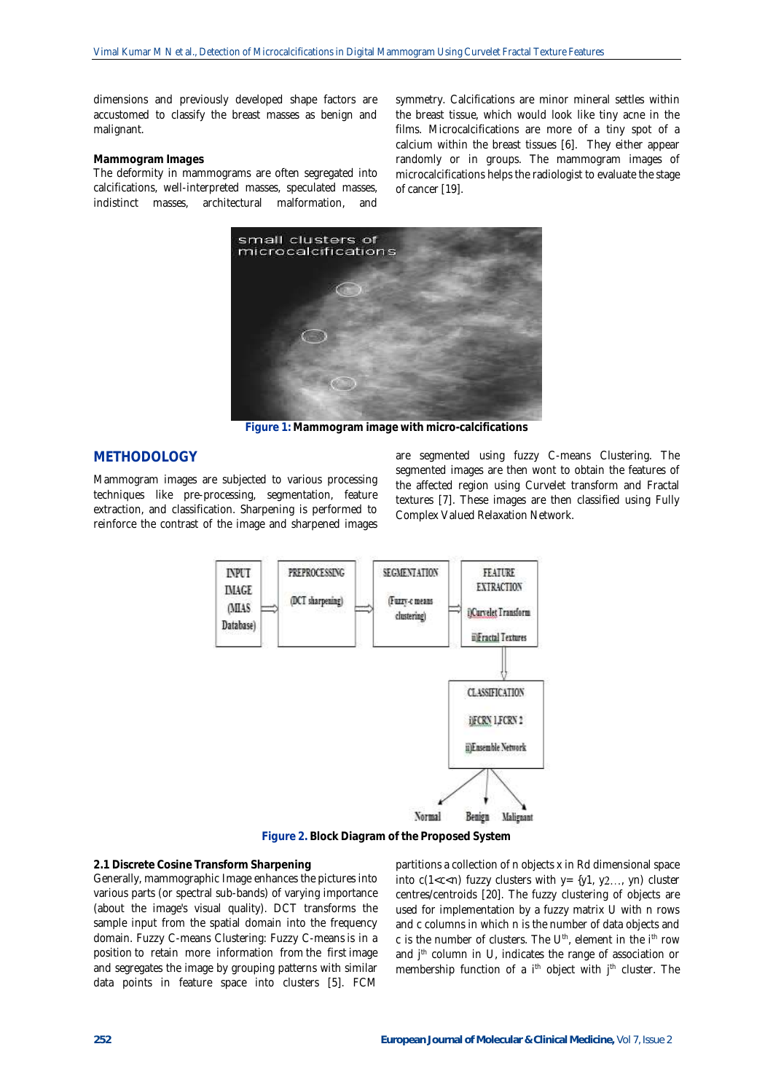dimensions and previously developed shape factors are accustomed to classify the breast masses as benign and malignant.

#### **Mammogram Images**

The deformity in mammograms are often segregated into calcifications, well-interpreted masses, speculated masses, indistinct masses, architectural malformation, and symmetry. Calcifications are minor mineral settles within the breast tissue, which would look like tiny acne in the films. Microcalcifications are more of a tiny spot of a calcium within the breast tissues [6]. They either appear randomly or in groups. The mammogram images of microcalcifications helps the radiologist to evaluate the stage of cancer [19].



**Figure 1: Mammogram image with micro-calcifications**

## **METHODOLOGY**

Mammogram images are subjected to various processing techniques like pre-processing, segmentation, feature extraction, and classification. Sharpening is performed to reinforce the contrast of the image and sharpened images

are segmented using fuzzy C-means Clustering. The segmented images are then wont to obtain the features of the affected region using Curvelet transform and Fractal textures [7]. These images are then classified using Fully Complex Valued Relaxation Network.



**Figure 2. Block Diagram of the Proposed System**

#### **2.1 Discrete Cosine Transform Sharpening**

Generally, mammographic Image enhances the pictures into various parts (or spectral sub-bands) of varying importance (about the image's visual quality). DCT transforms the sample input from the spatial domain into the frequency domain. Fuzzy C-means Clustering: Fuzzy C-means is in a position to retain more information from the first image and segregates the image by grouping patterns with similar data points in feature space into clusters [5]. FCM

partitions a collection of n objects x in Rd dimensional space into  $c(1 < c < n)$  fuzzy clusters with  $y = \{y_1, y_2, \ldots, y_n\}$  cluster centres/centroids [20]. The fuzzy clustering of objects are used for implementation by a fuzzy matrix U with n rows and c columns in which n is the number of data objects and c is the number of clusters. The U<sup>th</sup>, element in the i<sup>th</sup> row and j<sup>th</sup> column in U, indicates the range of association or membership function of a i<sup>th</sup> object with j<sup>th</sup> cluster. The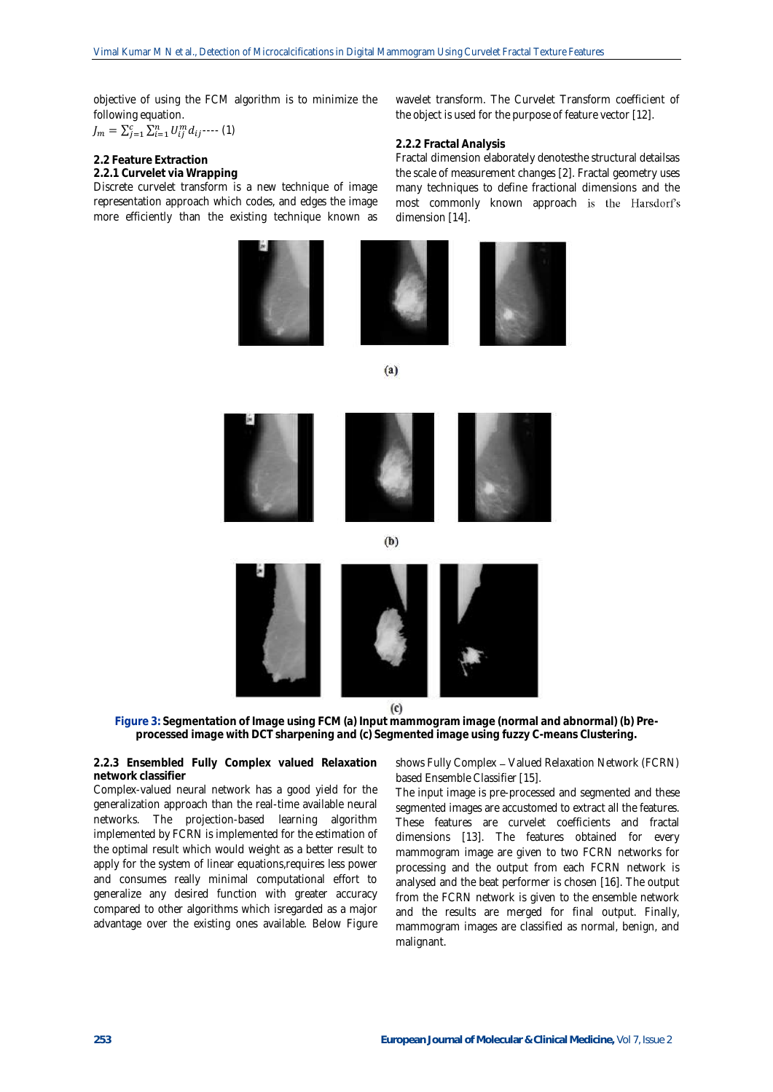objective of using the FCM algorithm is to minimize the following equation.

$$
J_m = \sum_{j=1}^{c} \sum_{i=1}^{n} U_{ij}^{m} d_{ij} \cdots (1)
$$

#### **2.2 Feature Extraction**

**2.2.1 Curvelet via Wrapping**

Discrete curvelet transform is a new technique of image representation approach which codes, and edges the image more efficiently than the existing technique known as wavelet transform. The Curvelet Transform coefficient of the object is used for the purpose of feature vector [12].

#### **2.2.2 Fractal Analysis**

Fractal dimension elaborately denotesthe structural detailsas the scale of measurement changes [2]. Fractal geometry uses many techniques to define fractional dimensions and the most commonly known approach is the Harsdorf's dimension [14].







 $(b)$ 



 $(c)$ 

**Figure 3: Segmentation of Image using FCM (a) Input mammogram image (normal and abnormal) (b) Preprocessed image with DCT sharpening and (c) Segmented image using fuzzy C-means Clustering.**

**2.2.3 Ensembled Fully Complex valued Relaxation network classifier**

Complex-valued neural network has a good yield for the generalization approach than the real-time available neural networks. The projection-based learning algorithm implemented by FCRN is implemented for the estimation of the optimal result which would weight as a better result to apply for the system of linear equations,requires less power and consumes really minimal computational effort to generalize any desired function with greater accuracy compared to other algorithms which isregarded as a major advantage over the existing ones available. Below Figure

shows Fully Complex - Valued Relaxation Network (FCRN) based Ensemble Classifier [15].

The input image is pre-processed and segmented and these segmented images are accustomed to extract all the features. These features are curvelet coefficients and fractal dimensions [13]. The features obtained for every mammogram image are given to two FCRN networks for processing and the output from each FCRN network is analysed and the beat performer is chosen [16]. The output from the FCRN network is given to the ensemble network and the results are merged for final output. Finally, mammogram images are classified as normal, benign, and malignant.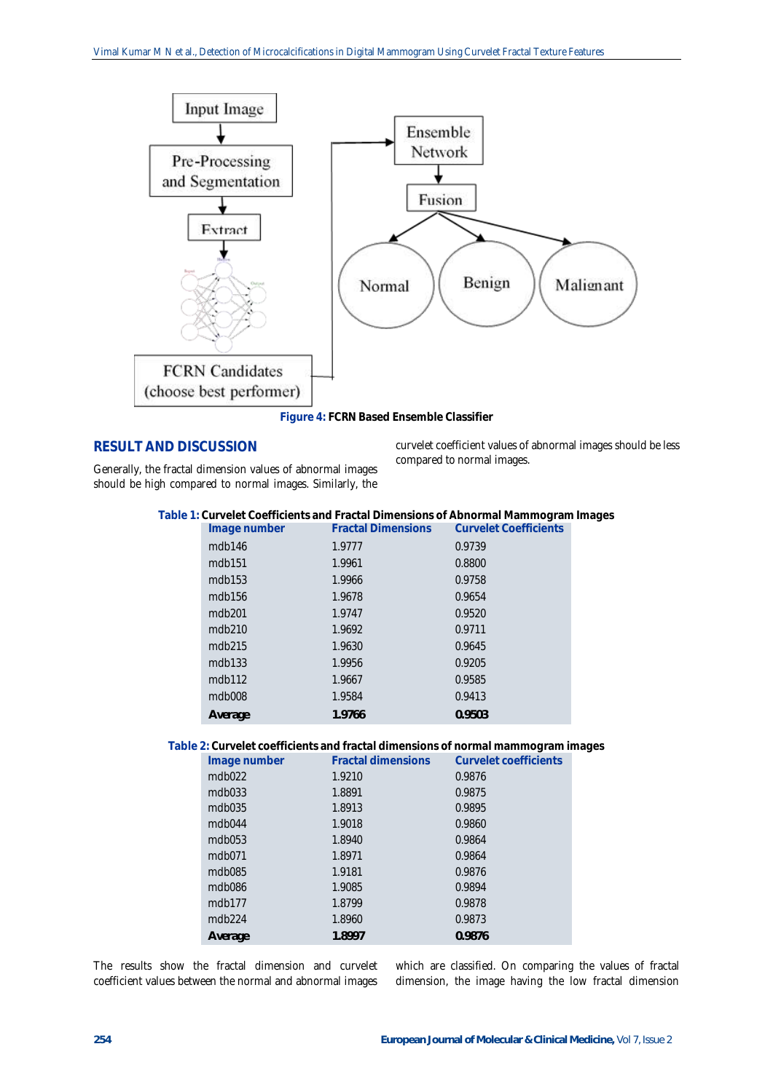

**Figure 4: FCRN Based Ensemble Classifier**

### **RESULT AND DISCUSSION**

Generally, the fractal dimension values of abnormal images should be high compared to normal images. Similarly, the curvelet coefficient values of abnormal images should be less compared to normal images.

| Table 1: Curvelet Coefficients and Fractal Dimensions of Abnormal Mammogram Images |
|------------------------------------------------------------------------------------|
|------------------------------------------------------------------------------------|

| Image number | <b>Fractal Dimensions</b> | <b>Curvelet Coefficients</b> |
|--------------|---------------------------|------------------------------|
| mdb146       | 1.9777                    | 0.9739                       |
| mdb151       | 1.9961                    | 0.8800                       |
| mdb153       | 1.9966                    | 0.9758                       |
| mdb156       | 1.9678                    | 0.9654                       |
| mdb201       | 1.9747                    | 0.9520                       |
| mdb210       | 1.9692                    | 0.9711                       |
| mdb215       | 1.9630                    | 0.9645                       |
| mdb133       | 1.9956                    | 0.9205                       |
| mdb112       | 1.9667                    | 0.9585                       |
| mdb008       | 1.9584                    | 0.9413                       |
| Average      | 1.9766                    | 0.9503                       |

**Table 2: Curvelet coefficients and fractal dimensions of normal mammogram images**

| Image number | <b>Fractal dimensions</b> | Curvelet coefficients |
|--------------|---------------------------|-----------------------|
| mdb022       | 1.9210                    | 0.9876                |
| mdb033       | 1.8891                    | 0.9875                |
| mdb035       | 1.8913                    | 0.9895                |
| mdb044       | 1.9018                    | 0.9860                |
| mdb053       | 1.8940                    | 0.9864                |
| mdb071       | 1.8971                    | 0.9864                |
| mdb085       | 1.9181                    | 0.9876                |
| mdb086       | 1.9085                    | 0.9894                |
| mdb177       | 1.8799                    | 0.9878                |
| mdb224       | 1.8960                    | 0.9873                |
| Average      | 1.8997                    | 0.9876                |
|              |                           |                       |

The results show the fractal dimension and curvelet coefficient values between the normal and abnormal images which are classified. On comparing the values of fractal dimension, the image having the low fractal dimension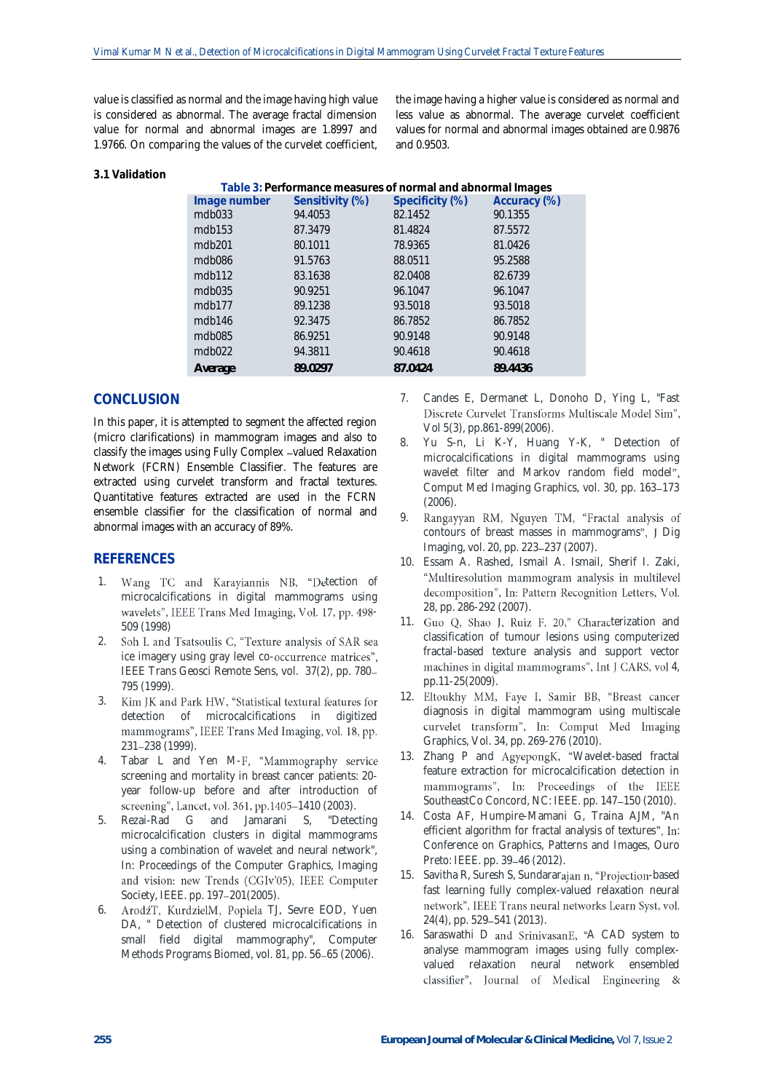value is classified as normal and the image having high value is considered as abnormal. The average fractal dimension value for normal and abnormal images are 1.8997 and 1.9766. On comparing the values of the curvelet coefficient, the image having a higher value is considered as normal and less value as abnormal. The average curvelet coefficient values for normal and abnormal images obtained are 0.9876 and 0.9503.

#### **3.1 Validation**

| i quie 5. Ferrori i i di ice i rieggui es or fiori i i di iu qui iorni di fi i dues |                 |                 |              |  |  |  |  |
|-------------------------------------------------------------------------------------|-----------------|-----------------|--------------|--|--|--|--|
| Image number                                                                        | Sensitivity (%) | Specificity (%) | Accuracy (%) |  |  |  |  |
| mdb033                                                                              | 94.4053         | 82.1452         | 90.1355      |  |  |  |  |
| mdb153                                                                              | 87.3479         | 81.4824         | 87.5572      |  |  |  |  |
| mdb <sub>201</sub>                                                                  | 80.1011         | 78.9365         | 81.0426      |  |  |  |  |
| mdb086                                                                              | 91.5763         | 88.0511         | 95.2588      |  |  |  |  |
| mdb112                                                                              | 83.1638         | 82.0408         | 82.6739      |  |  |  |  |
| mdb035                                                                              | 90.9251         | 96.1047         | 96.1047      |  |  |  |  |
| mdb177                                                                              | 89.1238         | 93.5018         | 93.5018      |  |  |  |  |
| mdb146                                                                              | 92.3475         | 86.7852         | 86.7852      |  |  |  |  |
| mdb085                                                                              | 86.9251         | 90.9148         | 90.9148      |  |  |  |  |
| mdb022                                                                              | 94.3811         | 90.4618         | 90.4618      |  |  |  |  |
| Average                                                                             | 89.0297         | 87.0424         | 89.4436      |  |  |  |  |
|                                                                                     |                 |                 |              |  |  |  |  |

**Table 3: Performance measures of normal and abnormal Images**

## **CONCLUSION**

In this paper, it is attempted to segment the affected region (micro clarifications) in mammogram images and also to classify the images using Fully Complex -valued Relaxation Network (FCRN) Ensemble Classifier. The features are extracted using curvelet transform and fractal textures. Quantitative features extracted are used in the FCRN ensemble classifier for the classification of normal and abnormal images with an accuracy of 89%.

## **REFERENCES**

- 1. Wang TC and Karayiannis NB, "Detection of microcalcifications in digital mammograms using wavelets", IEEE Trans Med Imaging, Vol. 17, pp. 498-509 (1998)
- Soh L and Tsatsoulis C, "Texture analysis of SAR sea 2. ice imagery using gray level co-occurrence matrices", IEEE Trans Geosci Remote Sens, vol. 37(2), pp. 780 795 (1999).
- 3. Kim JK and Park HW, "Statistical textural features for detection of microcalcifications in digitized mammograms", IEEE Trans Med Imaging, vol. 18, pp. 231 238 (1999).
- 4. Tabar L and Yen Mscreening and mortality in breast cancer patients: 20 year follow-up before and after introduction of screening", Lancet, vol. 361, pp.1405-1410 (2003).
- 5. Rezai-Rad G and Jamarani S, "Detecting microcalcification clusters in digital mammograms using a combination of wavelet and neural network", In: Proceedings of the Computer Graphics, Imaging and vision: new Trends (CGIv'05), IEEE Computer Society, IEEE. pp. 197-201(2005).
- ArodźT, KurdzielM, Popiela TJ, Sevre EOD, Yuen DA, " Detection of clustered microcalcifications in small field digital mammography", Computer Methods Programs Biomed, vol. 81, pp. 56-65 (2006).
- 7. Candes E, Dermanet L, Donoho D, Ying L, "Fast Discrete Curvelet Transforms Multiscale Model Sim", Vol 5(3), pp.861-899(2006).
- 8. Yu S-n, Li K-Y, Huang Y-K, " Detection of microcalcifications in digital mammograms using wavelet filter and Markov random field model", Comput Med Imaging Graphics, vol. 30, pp. 163-173 (2006).
- 9. Rangayyan RM, Nguyen TM, "Fractal analysis of contours of breast masses in mammograms", J Dig Imaging, vol. 20, pp. 223-237 (2007).
- 10. Essam A. Rashed, Ismail A. Ismail, Sherif I. Zaki, "Multiresolution mammogram analysis in multilevel decomposition", In: Pattern Recognition Letters, Vol. 28, pp. 286-292 (2007).
- 11. Guo Q, Shao J, Ruiz F. 20," Characterization and classification of tumour lesions using computerized fractal-based texture analysis and support vector machines in digital mammograms", Int J CARS, vol 4, pp.11-25(2009).
- 12. Eltoukhy MM, Faye I, Samir BB, "Breast cancer diagnosis in digital mammogram using multiscale curvelet transform", In: Comput Med Imaging Graphics, Vol. 34, pp. 269-276 (2010).
- 13. Zhang P and AgyepongK, "Wavelet-based fractal feature extraction for microcalcification detection in mammograms", In: Proceedings of the IEEE SoutheastCo Concord, NC: IEEE. pp. 147-150 (2010).
- 14. Costa AF, Humpire-Mamani G, Traina AJM, "An efficient algorithm for fractal analysis of textures", In: Conference on Graphics, Patterns and Images, Ouro Preto: IEEE. pp. 39-46 (2012).
- 15. Savitha R, Suresh S, Sundararajan n, "Projection-based fast learning fully complex-valued relaxation neural network", IEEE Trans neural networks Learn Syst, vol. 24(4), pp. 529-541 (2013).
- 16. Saraswathi D and SrinivasanE, "A CAD system to analyse mammogram images using fully complexvalued relaxation neural network ensembled classifier", Journal of Medical Engineering &